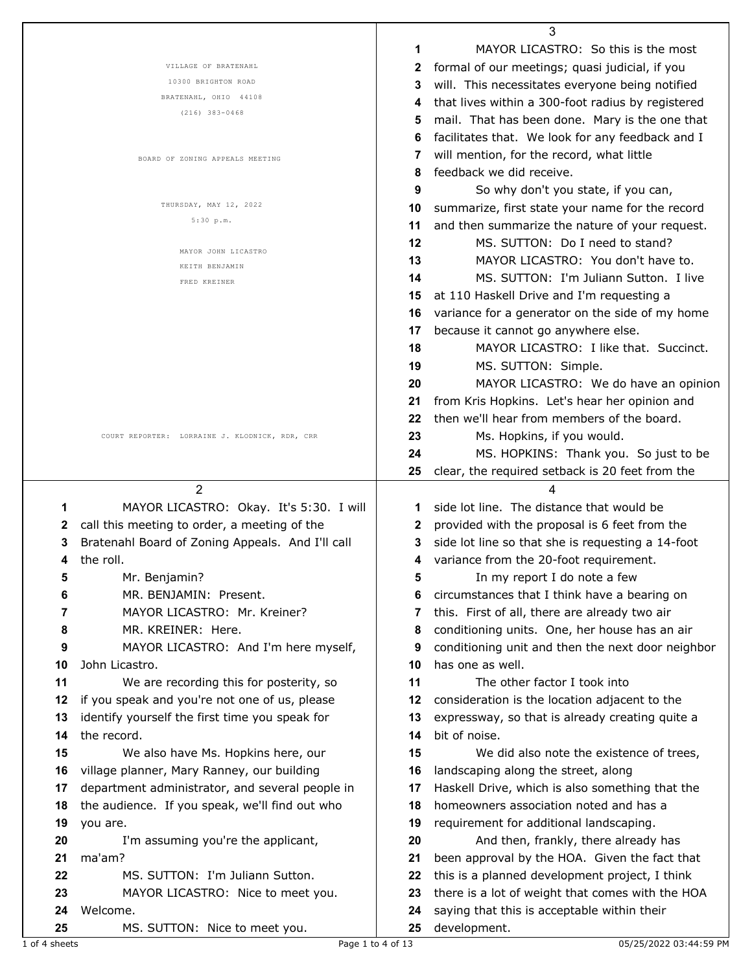|                                                       |                     | 3                                                 |
|-------------------------------------------------------|---------------------|---------------------------------------------------|
|                                                       | 1                   | MAYOR LICASTRO: So this is the most               |
| VILLAGE OF BRATENAHL                                  | 2                   | formal of our meetings; quasi judicial, if you    |
| 10300 BRIGHTON ROAD                                   | 3                   | will. This necessitates everyone being notified   |
| BRATENAHL, OHIO 44108                                 | 4                   | that lives within a 300-foot radius by registered |
| $(216)$ 383-0468                                      | 5                   | mail. That has been done. Mary is the one that    |
|                                                       | 6                   | facilitates that. We look for any feedback and I  |
| BOARD OF ZONING APPEALS MEETING                       | 7                   | will mention, for the record, what little         |
|                                                       | 8                   | feedback we did receive.                          |
|                                                       | 9                   | So why don't you state, if you can,               |
| THURSDAY, MAY 12, 2022                                | 10                  | summarize, first state your name for the record   |
| 5:30 p.m.                                             | 11                  | and then summarize the nature of your request.    |
|                                                       |                     |                                                   |
| MAYOR JOHN LICASTRO                                   | 12                  | MS. SUTTON: Do I need to stand?                   |
| KEITH BENJAMIN                                        | 13                  | MAYOR LICASTRO: You don't have to.                |
| FRED KREINER                                          | 14                  | MS. SUTTON: I'm Juliann Sutton. I live            |
|                                                       | 15                  | at 110 Haskell Drive and I'm requesting a         |
|                                                       | 16                  | variance for a generator on the side of my home   |
|                                                       | 17                  | because it cannot go anywhere else.               |
|                                                       | 18                  | MAYOR LICASTRO: I like that. Succinct.            |
|                                                       | 19                  | MS. SUTTON: Simple.                               |
|                                                       | 20                  | MAYOR LICASTRO: We do have an opinion             |
|                                                       | 21                  | from Kris Hopkins. Let's hear her opinion and     |
|                                                       | 22                  | then we'll hear from members of the board.        |
| COURT REPORTER: LORRAINE J. KLODNICK, RDR, CRR        | 23                  | Ms. Hopkins, if you would.                        |
|                                                       | 24                  | MS. HOPKINS: Thank you. So just to be             |
|                                                       | 25                  | clear, the required setback is 20 feet from the   |
| $\overline{2}$                                        |                     | 4                                                 |
| MAYOR LICASTRO: Okay. It's 5:30. I will<br>1          | 1                   | side lot line. The distance that would be         |
| call this meeting to order, a meeting of the<br>2     | 2                   | provided with the proposal is 6 feet from the     |
| 3                                                     | 3                   | side lot line so that she is requesting a 14-foot |
| Bratenahl Board of Zoning Appeals. And I'll call      |                     |                                                   |
| the roll.<br>4                                        | 4                   | variance from the 20-foot requirement.            |
| Mr. Benjamin?<br>5                                    |                     | In my report I do note a few                      |
| MR. BENJAMIN: Present.<br>6                           | 6                   | circumstances that I think have a bearing on      |
| MAYOR LICASTRO: Mr. Kreiner?<br>7                     | 7                   | this. First of all, there are already two air     |
| 8<br>MR. KREINER: Here.                               | 8                   | conditioning units. One, her house has an air     |
| 9<br>MAYOR LICASTRO: And I'm here myself,             | 9                   | conditioning unit and then the next door neighbor |
| 10<br>John Licastro.                                  | 10                  | has one as well.                                  |
| 11<br>We are recording this for posterity, so         | 11                  | The other factor I took into                      |
| if you speak and you're not one of us, please<br>12   | 12                  | consideration is the location adjacent to the     |
| identify yourself the first time you speak for<br>13  | 13                  | expressway, so that is already creating quite a   |
| the record.<br>14                                     | bit of noise.<br>14 |                                                   |
| 15<br>We also have Ms. Hopkins here, our              | 15                  | We did also note the existence of trees,          |
| 16<br>village planner, Mary Ranney, our building      | 16                  | landscaping along the street, along               |
| department administrator, and several people in<br>17 | 17                  | Haskell Drive, which is also something that the   |
| the audience. If you speak, we'll find out who<br>18  | 18                  | homeowners association noted and has a            |
| 19<br>you are.                                        | 19                  | requirement for additional landscaping.           |
| 20<br>I'm assuming you're the applicant,              | 20                  | And then, frankly, there already has              |
| 21<br>ma'am?                                          | 21                  | been approval by the HOA. Given the fact that     |
| 22<br>MS. SUTTON: I'm Juliann Sutton.                 | 22                  | this is a planned development project, I think    |
| 23<br>MAYOR LICASTRO: Nice to meet you.               | 23                  | there is a lot of weight that comes with the HOA  |
| 24<br>Welcome.                                        | 24                  | saying that this is acceptable within their       |
| 25<br>MS. SUTTON: Nice to meet you.                   | development.<br>25  |                                                   |
|                                                       |                     |                                                   |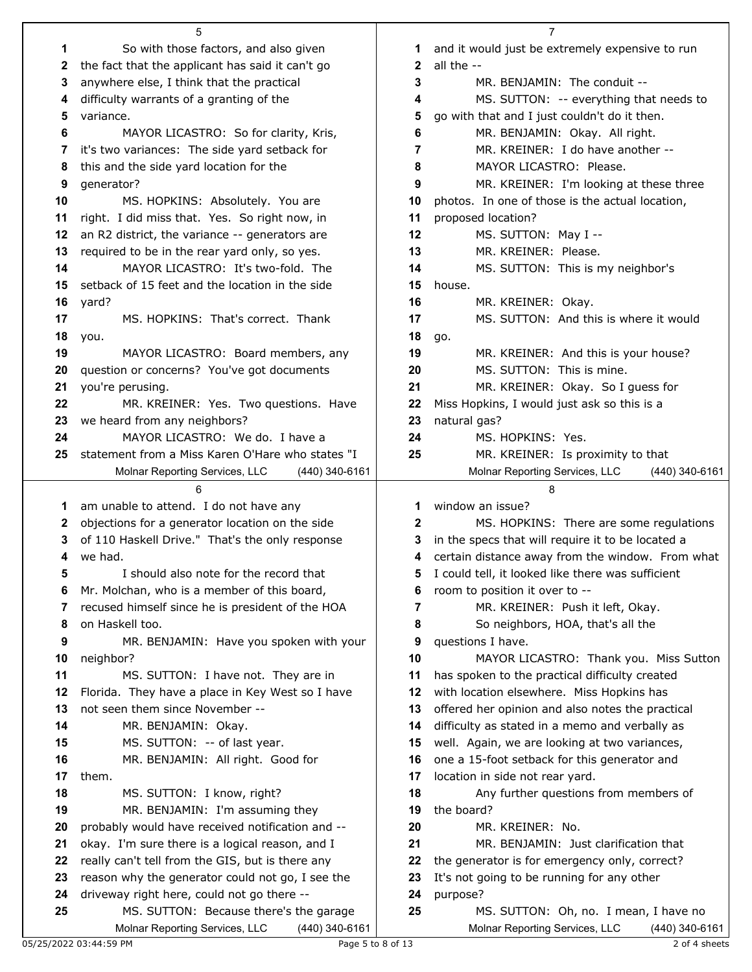|    | 5                                                |              | $\overline{7}$                                      |
|----|--------------------------------------------------|--------------|-----------------------------------------------------|
| 1  | So with those factors, and also given            | 1            | and it would just be extremely expensive to run     |
| 2  | the fact that the applicant has said it can't go | $\mathbf{2}$ | all the --                                          |
| 3  | anywhere else, I think that the practical        | 3            | MR. BENJAMIN: The conduit --                        |
| 4  | difficulty warrants of a granting of the         | 4            | MS. SUTTON: -- everything that needs to             |
| 5  | variance.                                        | 5            | go with that and I just couldn't do it then.        |
| 6  | MAYOR LICASTRO: So for clarity, Kris,            | 6            | MR. BENJAMIN: Okay. All right.                      |
| 7  | it's two variances: The side yard setback for    | 7            | MR. KREINER: I do have another --                   |
| 8  | this and the side yard location for the          | 8            | MAYOR LICASTRO: Please.                             |
| 9  | generator?                                       | 9            | MR. KREINER: I'm looking at these three             |
| 10 | MS. HOPKINS: Absolutely. You are                 | 10           | photos. In one of those is the actual location,     |
| 11 | right. I did miss that. Yes. So right now, in    | 11           | proposed location?                                  |
| 12 | an R2 district, the variance -- generators are   | 12           | MS. SUTTON: May I --                                |
|    |                                                  |              | MR. KREINER: Please.                                |
| 13 | required to be in the rear yard only, so yes.    | 13           |                                                     |
| 14 | MAYOR LICASTRO: It's two-fold. The               | 14           | MS. SUTTON: This is my neighbor's                   |
| 15 | setback of 15 feet and the location in the side  | 15           | house.                                              |
| 16 | yard?                                            | 16           | MR. KREINER: Okay.                                  |
| 17 | MS. HOPKINS: That's correct. Thank               | 17           | MS. SUTTON: And this is where it would              |
| 18 | you.                                             | 18           | go.                                                 |
| 19 | MAYOR LICASTRO: Board members, any               | 19           | MR. KREINER: And this is your house?                |
| 20 | question or concerns? You've got documents       | 20           | MS. SUTTON: This is mine.                           |
| 21 | you're perusing.                                 | 21           | MR. KREINER: Okay. So I guess for                   |
| 22 | MR. KREINER: Yes. Two questions. Have            | 22           | Miss Hopkins, I would just ask so this is a         |
| 23 | we heard from any neighbors?                     | 23           | natural gas?                                        |
| 24 | MAYOR LICASTRO: We do. I have a                  | 24           | MS. HOPKINS: Yes.                                   |
| 25 | statement from a Miss Karen O'Hare who states "I | 25           | MR. KREINER: Is proximity to that                   |
|    | Molnar Reporting Services, LLC<br>(440) 340-6161 |              | Molnar Reporting Services, LLC<br>(440) 340-6161    |
|    |                                                  |              |                                                     |
|    |                                                  |              | 8                                                   |
| 1  | am unable to attend. I do not have any           | 1            | window an issue?                                    |
| 2  | objections for a generator location on the side  | 2            | MS. HOPKINS: There are some regulations             |
| 3  | of 110 Haskell Drive." That's the only response  | 3            | in the specs that will require it to be located a   |
| 4  | we had.                                          | 4            | certain distance away from the window. From what    |
|    | I should also note for the record that           |              | 5 I could tell, it looked like there was sufficient |
| 6  | Mr. Molchan, who is a member of this board,      | 6            | room to position it over to --                      |
| 7  | recused himself since he is president of the HOA | 7            | MR. KREINER: Push it left, Okay.                    |
| 8  | on Haskell too.                                  | 8            | So neighbors, HOA, that's all the                   |
| 9  | MR. BENJAMIN: Have you spoken with your          | 9            | questions I have.                                   |
| 10 | neighbor?                                        | 10           | MAYOR LICASTRO: Thank you. Miss Sutton              |
| 11 | MS. SUTTON: I have not. They are in              | 11           | has spoken to the practical difficulty created      |
| 12 | Florida. They have a place in Key West so I have | 12           | with location elsewhere. Miss Hopkins has           |
| 13 | not seen them since November --                  | 13           | offered her opinion and also notes the practical    |
| 14 | MR. BENJAMIN: Okay.                              | 14           | difficulty as stated in a memo and verbally as      |
| 15 | MS. SUTTON: -- of last year.                     | 15           | well. Again, we are looking at two variances,       |
| 16 | MR. BENJAMIN: All right. Good for                | 16           | one a 15-foot setback for this generator and        |
| 17 | them.                                            | 17           | location in side not rear yard.                     |
| 18 | MS. SUTTON: I know, right?                       | 18           | Any further questions from members of               |
| 19 | MR. BENJAMIN: I'm assuming they                  | 19           | the board?                                          |
| 20 | probably would have received notification and -- | 20           | MR. KREINER: No.                                    |
| 21 | okay. I'm sure there is a logical reason, and I  | 21           | MR. BENJAMIN: Just clarification that               |
| 22 | really can't tell from the GIS, but is there any | 22           | the generator is for emergency only, correct?       |
| 23 | reason why the generator could not go, I see the | 23           | It's not going to be running for any other          |
| 24 | driveway right here, could not go there --       | 24           | purpose?                                            |
| 25 | MS. SUTTON: Because there's the garage           | 25           | MS. SUTTON: Oh, no. I mean, I have no               |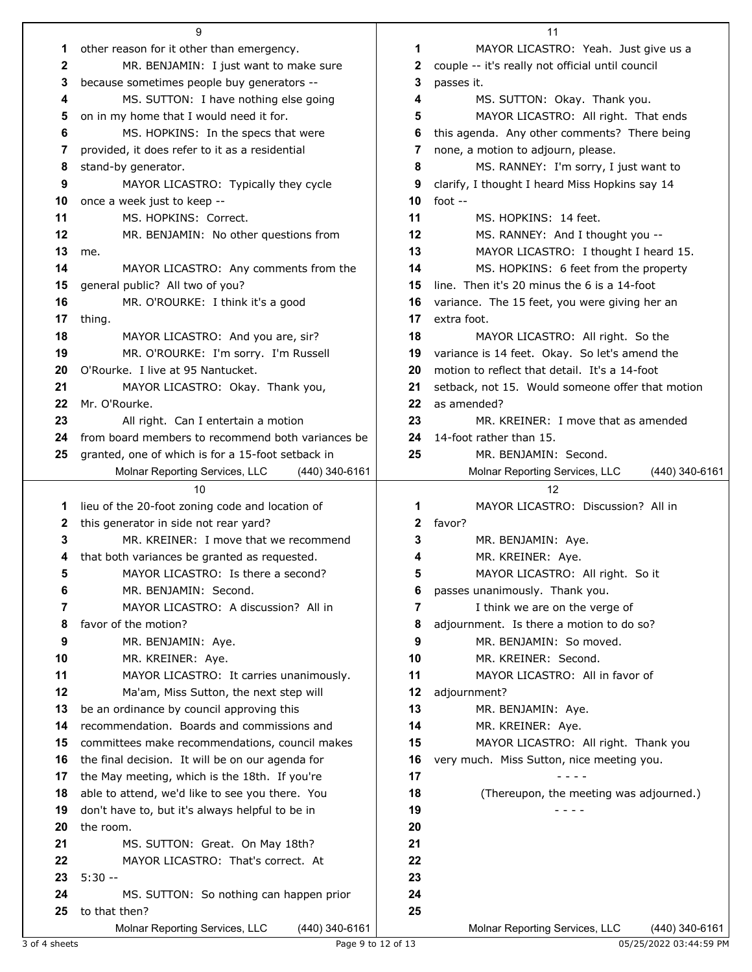|    | 9                                                                 |    | 11                                                              |
|----|-------------------------------------------------------------------|----|-----------------------------------------------------------------|
| 1  | other reason for it other than emergency.                         | 1  | MAYOR LICASTRO: Yeah. Just give us a                            |
| 2  | MR. BENJAMIN: I just want to make sure                            | 2  | couple -- it's really not official until council                |
| 3  | because sometimes people buy generators --                        | 3  | passes it.                                                      |
| 4  | MS. SUTTON: I have nothing else going                             | 4  | MS. SUTTON: Okay. Thank you.                                    |
| 5  | on in my home that I would need it for.                           | 5  | MAYOR LICASTRO: All right. That ends                            |
| 6  | MS. HOPKINS: In the specs that were                               | 6  | this agenda. Any other comments? There being                    |
| 7  | provided, it does refer to it as a residential                    | 7  | none, a motion to adjourn, please.                              |
| 8  | stand-by generator.                                               | 8  | MS. RANNEY: I'm sorry, I just want to                           |
| 9  | MAYOR LICASTRO: Typically they cycle                              | 9  | clarify, I thought I heard Miss Hopkins say 14                  |
| 10 | once a week just to keep --                                       | 10 | foot $-$                                                        |
| 11 | MS. HOPKINS: Correct.                                             | 11 | MS. HOPKINS: 14 feet.                                           |
| 12 | MR. BENJAMIN: No other questions from                             | 12 | MS. RANNEY: And I thought you --                                |
| 13 | me.                                                               | 13 | MAYOR LICASTRO: I thought I heard 15.                           |
| 14 | MAYOR LICASTRO: Any comments from the                             | 14 | MS. HOPKINS: 6 feet from the property                           |
| 15 | general public? All two of you?                                   | 15 | line. Then it's 20 minus the 6 is a 14-foot                     |
| 16 | MR. O'ROURKE: I think it's a good                                 | 16 | variance. The 15 feet, you were giving her an                   |
| 17 |                                                                   | 17 | extra foot.                                                     |
| 18 | thing.<br>MAYOR LICASTRO: And you are, sir?                       | 18 | MAYOR LICASTRO: All right. So the                               |
| 19 | MR. O'ROURKE: I'm sorry. I'm Russell                              | 19 | variance is 14 feet. Okay. So let's amend the                   |
| 20 | O'Rourke. I live at 95 Nantucket.                                 | 20 | motion to reflect that detail. It's a 14-foot                   |
| 21 |                                                                   | 21 |                                                                 |
| 22 | MAYOR LICASTRO: Okay. Thank you,<br>Mr. O'Rourke.                 | 22 | setback, not 15. Would someone offer that motion<br>as amended? |
| 23 | All right. Can I entertain a motion                               | 23 | MR. KREINER: I move that as amended                             |
| 24 | from board members to recommend both variances be                 | 24 | 14-foot rather than 15.                                         |
| 25 | granted, one of which is for a 15-foot setback in                 | 25 | MR. BENJAMIN: Second.                                           |
|    | (440) 340-6161                                                    |    | (440) 340-6161                                                  |
|    | Molnar Reporting Services, LLC                                    |    | Molnar Reporting Services, LLC<br>12                            |
|    |                                                                   |    |                                                                 |
|    | 10                                                                |    |                                                                 |
| 1  | lieu of the 20-foot zoning code and location of                   | 1  | MAYOR LICASTRO: Discussion? All in                              |
| 2  | this generator in side not rear yard?                             | 2  | favor?                                                          |
| 3  | MR. KREINER: I move that we recommend                             | 3  | MR. BENJAMIN: Aye.                                              |
| 4  | that both variances be granted as requested.                      |    | MR. KREINER: Aye.                                               |
| 5  | MAYOR LICASTRO: Is there a second?                                | 5  | MAYOR LICASTRO: All right. So it                                |
| 6  | MR. BENJAMIN: Second.                                             | 6  | passes unanimously. Thank you.                                  |
| 7  | MAYOR LICASTRO: A discussion? All in                              | 7  | I think we are on the verge of                                  |
| 8  | favor of the motion?                                              | 8  | adjournment. Is there a motion to do so?                        |
| 9  | MR. BENJAMIN: Aye.                                                | 9  | MR. BENJAMIN: So moved.                                         |
| 10 | MR. KREINER: Aye.                                                 | 10 | MR. KREINER: Second.                                            |
| 11 | MAYOR LICASTRO: It carries unanimously.                           | 11 | MAYOR LICASTRO: All in favor of                                 |
| 12 | Ma'am, Miss Sutton, the next step will                            | 12 | adjournment?                                                    |
| 13 | be an ordinance by council approving this                         | 13 | MR. BENJAMIN: Aye.                                              |
| 14 | recommendation. Boards and commissions and                        | 14 | MR. KREINER: Aye.                                               |
| 15 | committees make recommendations, council makes                    | 15 | MAYOR LICASTRO: All right. Thank you                            |
| 16 | the final decision. It will be on our agenda for                  | 16 | very much. Miss Sutton, nice meeting you.                       |
| 17 | the May meeting, which is the 18th. If you're                     | 17 |                                                                 |
| 18 | able to attend, we'd like to see you there. You                   | 18 | (Thereupon, the meeting was adjourned.)                         |
| 19 | don't have to, but it's always helpful to be in                   | 19 | - - - -                                                         |
| 20 | the room.                                                         | 20 |                                                                 |
| 21 | MS. SUTTON: Great. On May 18th?                                   | 21 |                                                                 |
| 22 | MAYOR LICASTRO: That's correct. At                                | 22 |                                                                 |
| 23 | $5:30 -$                                                          | 23 |                                                                 |
| 24 | MS. SUTTON: So nothing can happen prior                           | 24 |                                                                 |
| 25 | to that then?<br>Molnar Reporting Services, LLC<br>(440) 340-6161 | 25 | Molnar Reporting Services, LLC<br>(440) 340-6161                |